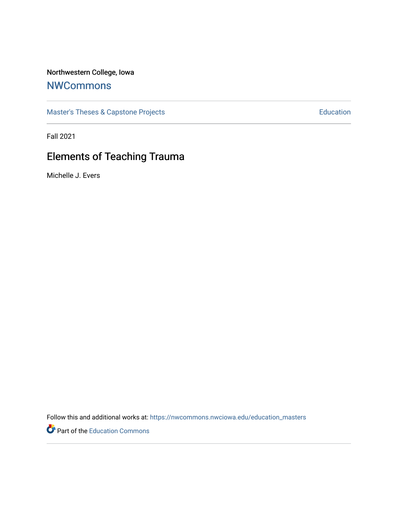# Northwestern College, Iowa

# **[NWCommons](https://nwcommons.nwciowa.edu/)**

[Master's Theses & Capstone Projects](https://nwcommons.nwciowa.edu/education_masters) **Education** Education

Fall 2021

# Elements of Teaching Trauma

Michelle J. Evers

Follow this and additional works at: [https://nwcommons.nwciowa.edu/education\\_masters](https://nwcommons.nwciowa.edu/education_masters?utm_source=nwcommons.nwciowa.edu%2Feducation_masters%2F361&utm_medium=PDF&utm_campaign=PDFCoverPages)

Part of the [Education Commons](http://network.bepress.com/hgg/discipline/784?utm_source=nwcommons.nwciowa.edu%2Feducation_masters%2F361&utm_medium=PDF&utm_campaign=PDFCoverPages)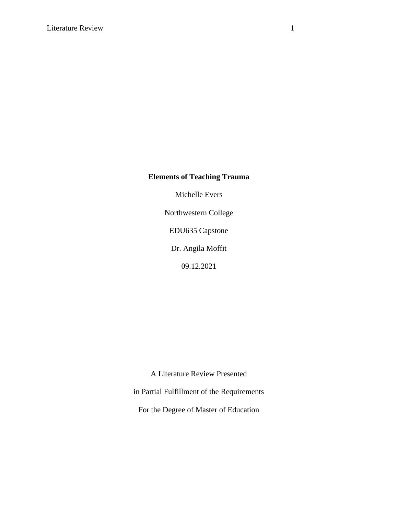# **Elements of Teaching Trauma**

Michelle Evers

Northwestern College

EDU635 Capstone

Dr. Angila Moffit

09.12.2021

A Literature Review Presented

in Partial Fulfillment of the Requirements

For the Degree of Master of Education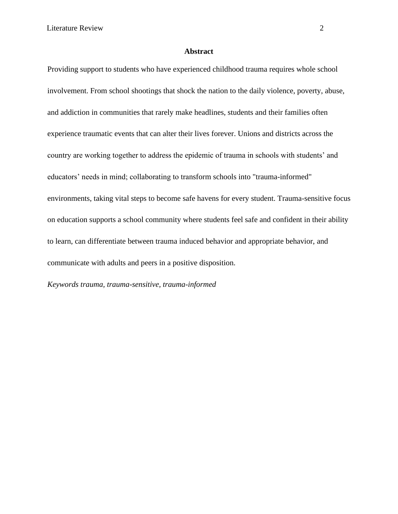# **Abstract**

Providing support to students who have experienced childhood trauma requires whole school involvement. From school shootings that shock the nation to the daily violence, poverty, abuse, and addiction in communities that rarely make headlines, students and their families often experience traumatic events that can alter their lives forever. Unions and districts across the country are working together to address the epidemic of trauma in schools with students' and educators' needs in mind; collaborating to transform schools into "trauma-informed" environments, taking vital steps to become safe havens for every student. Trauma-sensitive focus on education supports a school community where students feel safe and confident in their ability to learn, can differentiate between trauma induced behavior and appropriate behavior, and communicate with adults and peers in a positive disposition.

*Keywords trauma, trauma-sensitive, trauma-informed*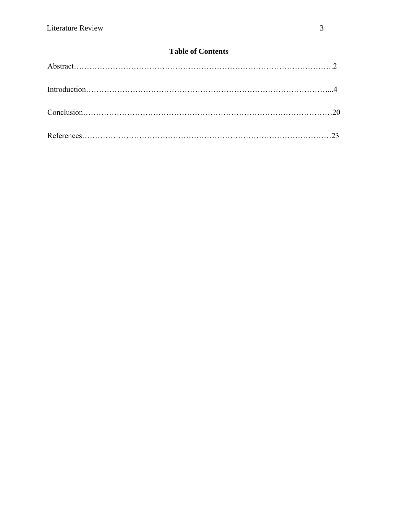# **Table of Contents**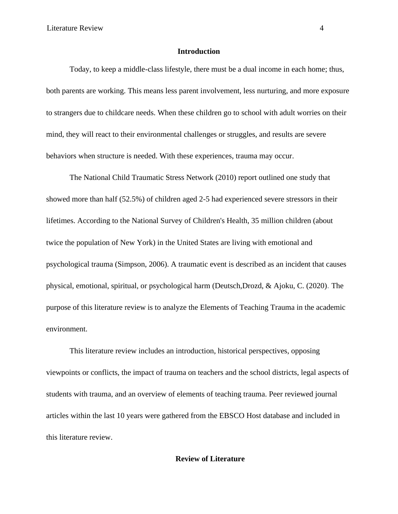# **Introduction**

Today, to keep a middle-class lifestyle, there must be a dual income in each home; thus, both parents are working. This means less parent involvement, less nurturing, and more exposure to strangers due to childcare needs. When these children go to school with adult worries on their mind, they will react to their environmental challenges or struggles, and results are severe behaviors when structure is needed. With these experiences, trauma may occur.

The National Child Traumatic Stress Network (2010) report outlined one study that showed more than half (52.5%) of children aged 2-5 had experienced severe stressors in their lifetimes. According to the National Survey of Children's Health, 35 million children (about twice the population of New York) in the United States are living with emotional and psychological trauma (Simpson, 2006). A traumatic event is described as an incident that causes physical, emotional, spiritual, or psychological harm (Deutsch,Drozd, & Ajoku, C. (2020). The purpose of this literature review is to analyze the Elements of Teaching Trauma in the academic environment.

This literature review includes an introduction, historical perspectives, opposing viewpoints or conflicts, the impact of trauma on teachers and the school districts, legal aspects of students with trauma, and an overview of elements of teaching trauma. Peer reviewed journal articles within the last 10 years were gathered from the EBSCO Host database and included in this literature review.

# **Review of Literature**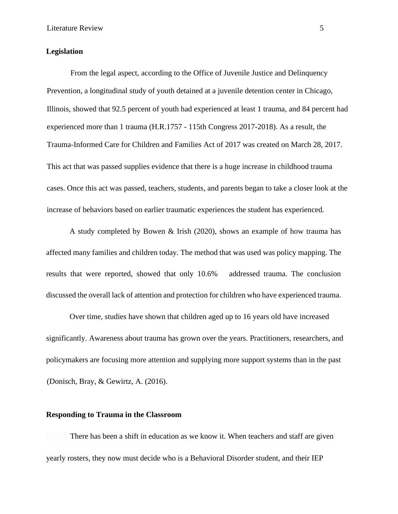### **Legislation**

From the legal aspect, according to the Office of Juvenile Justice and Delinquency Prevention, a longitudinal study of youth detained at a juvenile detention center in Chicago, Illinois, showed that 92.5 percent of youth had experienced at least 1 trauma, and 84 percent had experienced more than 1 trauma (H.R.1757 - 115th Congress 2017-2018). As a result, the Trauma-Informed Care for Children and Families Act of 2017 was created on March 28, 2017. This act that was passed supplies evidence that there is a huge increase in childhood trauma cases. Once this act was passed, teachers, students, and parents began to take a closer look at the increase of behaviors based on earlier traumatic experiences the student has experienced.

A study completed by Bowen & Irish (2020), shows an example of how trauma has affected many families and children today. The method that was used was policy mapping. The results that were reported, showed that only 10.6% addressed trauma. The conclusion discussed the overall lack of attention and protection for children who have experienced trauma.

Over time, studies have shown that children aged up to 16 years old have increased significantly. Awareness about trauma has grown over the years. Practitioners, researchers, and policymakers are focusing more attention and supplying more support systems than in the past (Donisch, Bray, & Gewirtz, A. (2016).

# **Responding to Trauma in the Classroom**

 There has been a shift in education as we know it. When teachers and staff are given yearly rosters, they now must decide who is a Behavioral Disorder student, and their IEP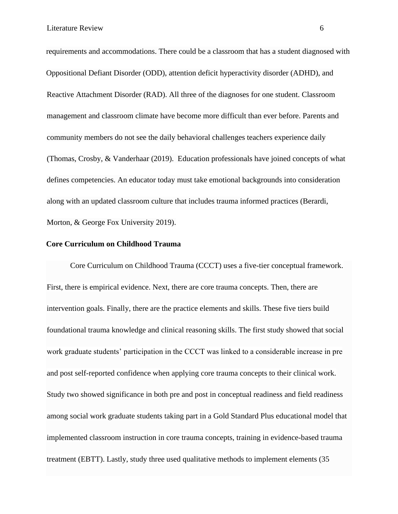requirements and accommodations. There could be a classroom that has a student diagnosed with Oppositional Defiant Disorder (ODD), attention deficit hyperactivity disorder (ADHD), and Reactive Attachment Disorder (RAD). All three of the diagnoses for one student. Classroom management and classroom climate have become more difficult than ever before. Parents and community members do not see the daily behavioral challenges teachers experience daily (Thomas, Crosby, & Vanderhaar (2019). Education professionals have joined concepts of what defines competencies. An educator today must take emotional backgrounds into consideration along with an updated classroom culture that includes trauma informed practices (Berardi, Morton, & George Fox University 2019).

## **Core Curriculum on Childhood Trauma**

Core Curriculum on Childhood Trauma (CCCT) uses a five-tier conceptual framework. First, there is empirical evidence. Next, there are core trauma concepts. Then, there are intervention goals. Finally, there are the practice elements and skills. These five tiers build foundational trauma knowledge and clinical reasoning skills. The first study showed that social work graduate students' participation in the CCCT was linked to a considerable increase in pre and post self-reported confidence when applying core trauma concepts to their clinical work. Study two showed significance in both pre and post in conceptual readiness and field readiness among social work graduate students taking part in a Gold Standard Plus educational model that implemented classroom instruction in core trauma concepts, training in evidence-based trauma treatment (EBTT). Lastly, study three used qualitative methods to implement elements (35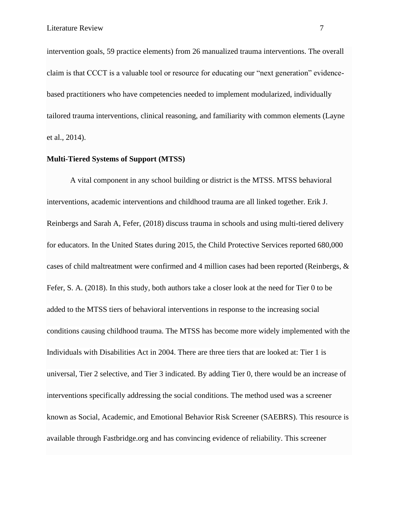intervention goals, 59 practice elements) from 26 manualized trauma interventions. The overall claim is that CCCT is a valuable tool or resource for educating our "next generation" evidencebased practitioners who have competencies needed to implement modularized, individually tailored trauma interventions, clinical reasoning, and familiarity with common elements (Layne et al., 2014).

# **Multi-Tiered Systems of Support (MTSS)**

A vital component in any school building or district is the MTSS. MTSS behavioral interventions, academic interventions and childhood trauma are all linked together. Erik J. Reinbergs and Sarah A, Fefer, (2018) discuss trauma in schools and using multi-tiered delivery for educators. In the United States during 2015, the Child Protective Services reported 680,000 cases of child maltreatment were confirmed and 4 million cases had been reported (Reinbergs, & Fefer, S. A. (2018). In this study, both authors take a closer look at the need for Tier 0 to be added to the MTSS tiers of behavioral interventions in response to the increasing social conditions causing childhood trauma. The MTSS has become more widely implemented with the Individuals with Disabilities Act in 2004. There are three tiers that are looked at: Tier 1 is universal, Tier 2 selective, and Tier 3 indicated. By adding Tier 0, there would be an increase of interventions specifically addressing the social conditions. The method used was a screener known as Social, Academic, and Emotional Behavior Risk Screener (SAEBRS). This resource is available through Fastbridge.org and has convincing evidence of reliability. This screener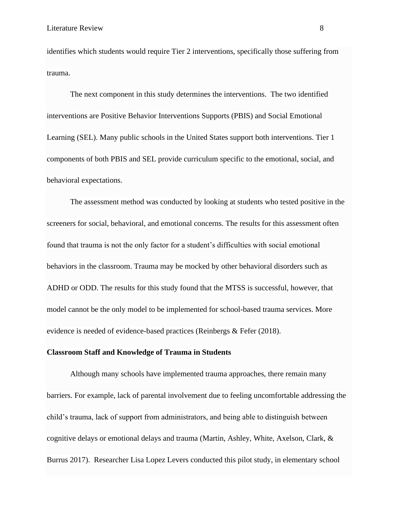identifies which students would require Tier 2 interventions, specifically those suffering from trauma.

The next component in this study determines the interventions. The two identified interventions are Positive Behavior Interventions Supports (PBIS) and Social Emotional Learning (SEL). Many public schools in the United States support both interventions. Tier 1 components of both PBIS and SEL provide curriculum specific to the emotional, social, and behavioral expectations.

The assessment method was conducted by looking at students who tested positive in the screeners for social, behavioral, and emotional concerns. The results for this assessment often found that trauma is not the only factor for a student's difficulties with social emotional behaviors in the classroom. Trauma may be mocked by other behavioral disorders such as ADHD or ODD. The results for this study found that the MTSS is successful, however, that model cannot be the only model to be implemented for school-based trauma services. More evidence is needed of evidence-based practices (Reinbergs & Fefer (2018).

#### **Classroom Staff and Knowledge of Trauma in Students**

Although many schools have implemented trauma approaches, there remain many barriers. For example, lack of parental involvement due to feeling uncomfortable addressing the child's trauma, lack of support from administrators, and being able to distinguish between cognitive delays or emotional delays and trauma (Martin, Ashley, White, Axelson, Clark, & Burrus 2017). Researcher Lisa Lopez Levers conducted this pilot study, in elementary school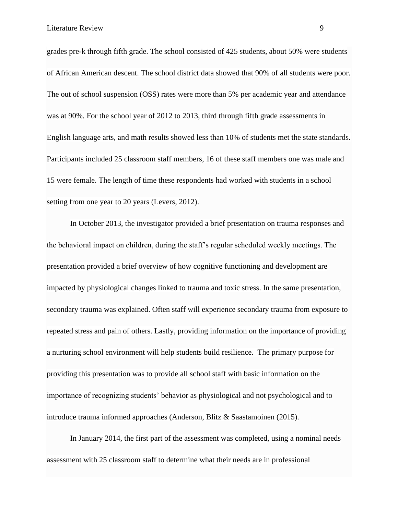grades pre-k through fifth grade. The school consisted of 425 students, about 50% were students of African American descent. The school district data showed that 90% of all students were poor. The out of school suspension (OSS) rates were more than 5% per academic year and attendance was at 90%. For the school year of 2012 to 2013, third through fifth grade assessments in English language arts, and math results showed less than 10% of students met the state standards. Participants included 25 classroom staff members, 16 of these staff members one was male and 15 were female. The length of time these respondents had worked with students in a school setting from one year to 20 years (Levers, 2012).

In October 2013, the investigator provided a brief presentation on trauma responses and the behavioral impact on children, during the staff's regular scheduled weekly meetings. The presentation provided a brief overview of how cognitive functioning and development are impacted by physiological changes linked to trauma and toxic stress. In the same presentation, secondary trauma was explained. Often staff will experience secondary trauma from exposure to repeated stress and pain of others. Lastly, providing information on the importance of providing a nurturing school environment will help students build resilience. The primary purpose for providing this presentation was to provide all school staff with basic information on the importance of recognizing students' behavior as physiological and not psychological and to introduce trauma informed approaches (Anderson, Blitz & Saastamoinen (2015).

In January 2014, the first part of the assessment was completed, using a nominal needs assessment with 25 classroom staff to determine what their needs are in professional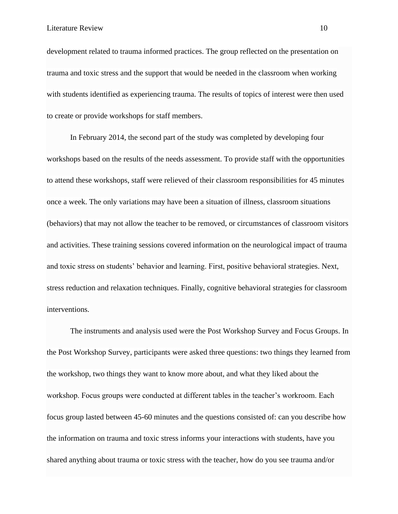development related to trauma informed practices. The group reflected on the presentation on trauma and toxic stress and the support that would be needed in the classroom when working with students identified as experiencing trauma. The results of topics of interest were then used to create or provide workshops for staff members.

In February 2014, the second part of the study was completed by developing four workshops based on the results of the needs assessment. To provide staff with the opportunities to attend these workshops, staff were relieved of their classroom responsibilities for 45 minutes once a week. The only variations may have been a situation of illness, classroom situations (behaviors) that may not allow the teacher to be removed, or circumstances of classroom visitors and activities. These training sessions covered information on the neurological impact of trauma and toxic stress on students' behavior and learning. First, positive behavioral strategies. Next, stress reduction and relaxation techniques. Finally, cognitive behavioral strategies for classroom interventions.

The instruments and analysis used were the Post Workshop Survey and Focus Groups. In the Post Workshop Survey, participants were asked three questions: two things they learned from the workshop, two things they want to know more about, and what they liked about the workshop. Focus groups were conducted at different tables in the teacher's workroom. Each focus group lasted between 45-60 minutes and the questions consisted of: can you describe how the information on trauma and toxic stress informs your interactions with students, have you shared anything about trauma or toxic stress with the teacher, how do you see trauma and/or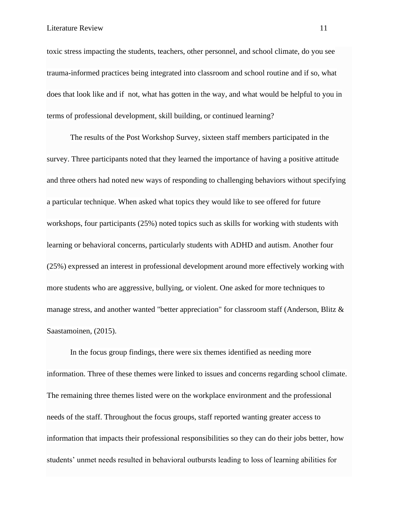toxic stress impacting the students, teachers, other personnel, and school climate, do you see trauma-informed practices being integrated into classroom and school routine and if so, what does that look like and if not, what has gotten in the way, and what would be helpful to you in terms of professional development, skill building, or continued learning?

The results of the Post Workshop Survey, sixteen staff members participated in the survey. Three participants noted that they learned the importance of having a positive attitude and three others had noted new ways of responding to challenging behaviors without specifying a particular technique. When asked what topics they would like to see offered for future workshops, four participants (25%) noted topics such as skills for working with students with learning or behavioral concerns, particularly students with ADHD and autism. Another four (25%) expressed an interest in professional development around more effectively working with more students who are aggressive, bullying, or violent. One asked for more techniques to manage stress, and another wanted "better appreciation" for classroom staff (Anderson, Blitz & Saastamoinen, (2015).

In the focus group findings, there were six themes identified as needing more information. Three of these themes were linked to issues and concerns regarding school climate. The remaining three themes listed were on the workplace environment and the professional needs of the staff. Throughout the focus groups, staff reported wanting greater access to information that impacts their professional responsibilities so they can do their jobs better, how students' unmet needs resulted in behavioral outbursts leading to loss of learning abilities for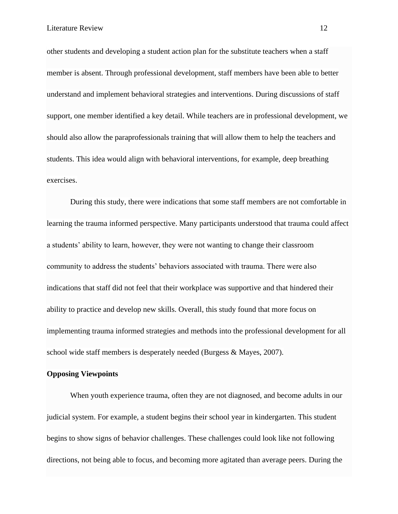other students and developing a student action plan for the substitute teachers when a staff member is absent. Through professional development, staff members have been able to better understand and implement behavioral strategies and interventions. During discussions of staff support, one member identified a key detail. While teachers are in professional development, we should also allow the paraprofessionals training that will allow them to help the teachers and students. This idea would align with behavioral interventions, for example, deep breathing exercises.

During this study, there were indications that some staff members are not comfortable in learning the trauma informed perspective. Many participants understood that trauma could affect a students' ability to learn, however, they were not wanting to change their classroom community to address the students' behaviors associated with trauma. There were also indications that staff did not feel that their workplace was supportive and that hindered their ability to practice and develop new skills. Overall, this study found that more focus on implementing trauma informed strategies and methods into the professional development for all school wide staff members is desperately needed (Burgess & Mayes, 2007).

#### **Opposing Viewpoints**

When youth experience trauma, often they are not diagnosed, and become adults in our judicial system. For example, a student begins their school year in kindergarten. This student begins to show signs of behavior challenges. These challenges could look like not following directions, not being able to focus, and becoming more agitated than average peers. During the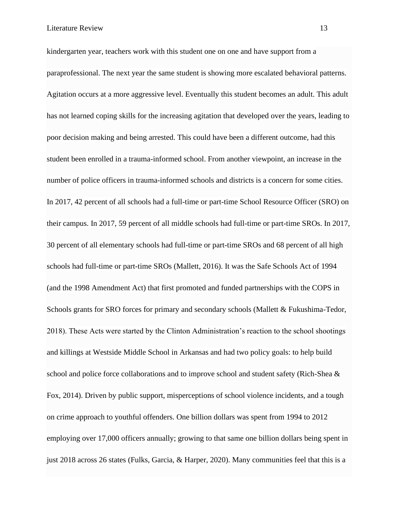kindergarten year, teachers work with this student one on one and have support from a paraprofessional. The next year the same student is showing more escalated behavioral patterns. Agitation occurs at a more aggressive level. Eventually this student becomes an adult. This adult has not learned coping skills for the increasing agitation that developed over the years, leading to poor decision making and being arrested. This could have been a different outcome, had this student been enrolled in a trauma-informed school. From another viewpoint, an increase in the number of police officers in trauma-informed schools and districts is a concern for some cities. In 2017, 42 percent of all schools had a full-time or part-time School Resource Officer (SRO) on their campus. In 2017, 59 percent of all middle schools had full-time or part-time SROs. In 2017, 30 percent of all elementary schools had full-time or part-time SROs and 68 percent of all high schools had full-time or part-time SROs (Mallett, 2016). It was the Safe Schools Act of 1994 (and the 1998 Amendment Act) that first promoted and funded partnerships with the COPS in Schools grants for SRO forces for primary and secondary schools (Mallett & Fukushima-Tedor, 2018). These Acts were started by the Clinton Administration's reaction to the school shootings and killings at Westside Middle School in Arkansas and had two policy goals: to help build school and police force collaborations and to improve school and student safety (Rich-Shea & Fox, 2014). Driven by public support, misperceptions of school violence incidents, and a tough on crime approach to youthful offenders. One billion dollars was spent from 1994 to 2012 employing over 17,000 officers annually; growing to that same one billion dollars being spent in just 2018 across 26 states (Fulks, Garcia, & Harper, 2020). Many communities feel that this is a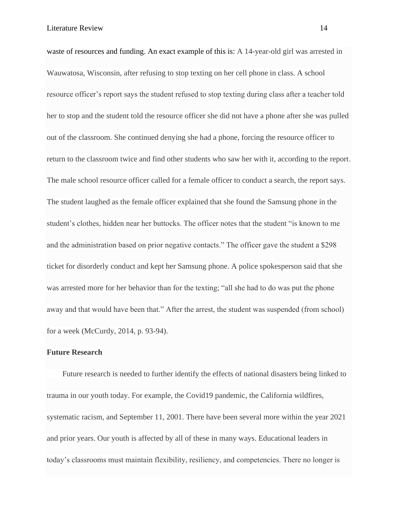waste of resources and funding. An exact example of this is: A 14-year-old girl was arrested in Wauwatosa, Wisconsin, after refusing to stop texting on her cell phone in class. A school resource officer's report says the student refused to stop texting during class after a teacher told her to stop and the student told the resource officer she did not have a phone after she was pulled out of the classroom. She continued denying she had a phone, forcing the resource officer to return to the classroom twice and find other students who saw her with it, according to the report. The male school resource officer called for a female officer to conduct a search, the report says. The student laughed as the female officer explained that she found the Samsung phone in the student's clothes, hidden near her buttocks. The officer notes that the student "is known to me and the administration based on prior negative contacts." The officer gave the student a \$298 ticket for disorderly conduct and kept her Samsung phone. A police spokesperson said that she was arrested more for her behavior than for the texting; "all she had to do was put the phone away and that would have been that." After the arrest, the student was suspended (from school) for a week (McCurdy, 2014, p. 93-94).

#### **Future Research**

 Future research is needed to further identify the effects of national disasters being linked to trauma in our youth today. For example, the Covid19 pandemic, the California wildfires, systematic racism, and September 11, 2001. There have been several more within the year 2021 and prior years. Our youth is affected by all of these in many ways. Educational leaders in today's classrooms must maintain flexibility, resiliency, and competencies. There no longer is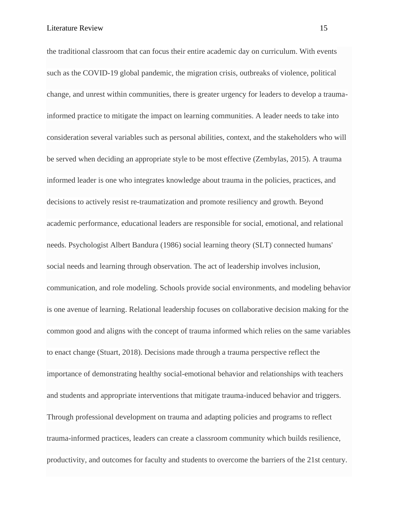the traditional classroom that can focus their entire academic day on curriculum. With events such as the COVID-19 global pandemic, the migration crisis, outbreaks of violence, political change, and unrest within communities, there is greater urgency for leaders to develop a traumainformed practice to mitigate the impact on learning communities. A leader needs to take into consideration several variables such as personal abilities, context, and the stakeholders who will be served when deciding an appropriate style to be most effective (Zembylas, 2015). A trauma informed leader is one who integrates knowledge about trauma in the policies, practices, and decisions to actively resist re-traumatization and promote resiliency and growth. Beyond academic performance, educational leaders are responsible for social, emotional, and relational needs. Psychologist Albert Bandura (1986) social learning theory (SLT) connected humans' social needs and learning through observation. The act of leadership involves inclusion, communication, and role modeling. Schools provide social environments, and modeling behavior is one avenue of learning. Relational leadership focuses on collaborative decision making for the common good and aligns with the concept of trauma informed which relies on the same variables to enact change (Stuart, 2018). Decisions made through a trauma perspective reflect the importance of demonstrating healthy social-emotional behavior and relationships with teachers and students and appropriate interventions that mitigate trauma-induced behavior and triggers. Through professional development on trauma and adapting policies and programs to reflect trauma-informed practices, leaders can create a classroom community which builds resilience, productivity, and outcomes for faculty and students to overcome the barriers of the 21st century.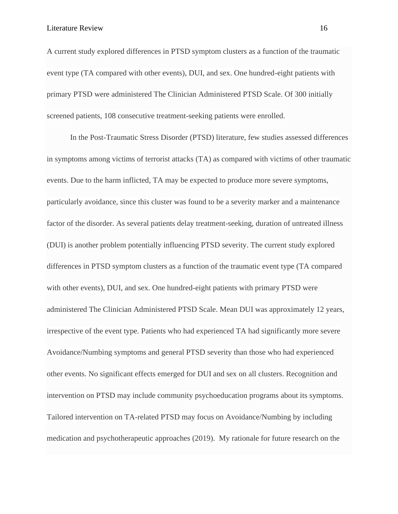A current study explored differences in PTSD symptom clusters as a function of the traumatic event type (TA compared with other events), DUI, and sex. One hundred-eight patients with primary PTSD were administered The Clinician Administered PTSD Scale. Of 300 initially screened patients, 108 consecutive treatment-seeking patients were enrolled.

In the Post-Traumatic Stress Disorder (PTSD) literature, few studies assessed differences in symptoms among victims of terrorist attacks (TA) as compared with victims of other traumatic events. Due to the harm inflicted, TA may be expected to produce more severe symptoms, particularly avoidance, since this cluster was found to be a severity marker and a maintenance factor of the disorder. As several patients delay treatment-seeking, duration of untreated illness (DUI) is another problem potentially influencing PTSD severity. The current study explored differences in PTSD symptom clusters as a function of the traumatic event type (TA compared with other events), DUI, and sex. One hundred-eight patients with primary PTSD were administered The Clinician Administered PTSD Scale. Mean DUI was approximately 12 years, irrespective of the event type. Patients who had experienced TA had significantly more severe Avoidance/Numbing symptoms and general PTSD severity than those who had experienced other events. No significant effects emerged for DUI and sex on all clusters. Recognition and intervention on PTSD may include community psychoeducation programs about its symptoms. Tailored intervention on TA-related PTSD may focus on Avoidance/Numbing by including medication and psychotherapeutic approaches (2019). My rationale for future research on the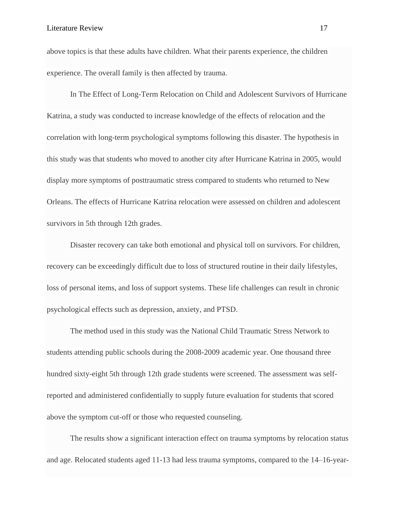above topics is that these adults have children. What their parents experience, the children experience. The overall family is then affected by trauma.

In The Effect of Long-Term Relocation on Child and Adolescent Survivors of Hurricane Katrina, a study was conducted to increase knowledge of the effects of relocation and the correlation with long-term psychological symptoms following this disaster. The hypothesis in this study was that students who moved to another city after Hurricane Katrina in 2005, would display more symptoms of posttraumatic stress compared to students who returned to New Orleans. The effects of Hurricane Katrina relocation were assessed on children and adolescent survivors in 5th through 12th grades.

Disaster recovery can take both emotional and physical toll on survivors. For children, recovery can be exceedingly difficult due to loss of structured routine in their daily lifestyles, loss of personal items, and loss of support systems. These life challenges can result in chronic psychological effects such as depression, anxiety, and PTSD.

The method used in this study was the National Child Traumatic Stress Network to students attending public schools during the 2008-2009 academic year. One thousand three hundred sixty-eight 5th through 12th grade students were screened. The assessment was selfreported and administered confidentially to supply future evaluation for students that scored above the symptom cut-off or those who requested counseling.

The results show a significant interaction effect on trauma symptoms by relocation status and age. Relocated students aged 11-13 had less trauma symptoms, compared to the 14–16-year-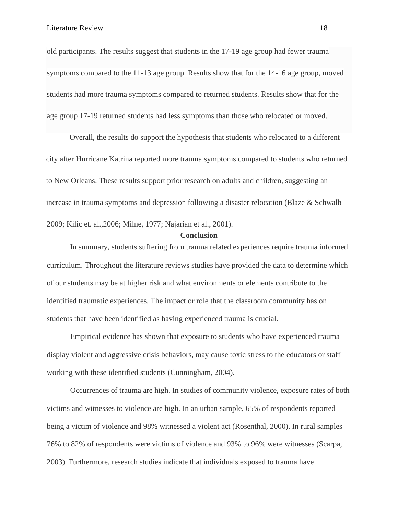old participants. The results suggest that students in the 17-19 age group had fewer trauma symptoms compared to the 11-13 age group. Results show that for the 14-16 age group, moved students had more trauma symptoms compared to returned students. Results show that for the age group 17-19 returned students had less symptoms than those who relocated or moved.

Overall, the results do support the hypothesis that students who relocated to a different city after Hurricane Katrina reported more trauma symptoms compared to students who returned to New Orleans. These results support prior research on adults and children, suggesting an increase in trauma symptoms and depression following a disaster relocation (Blaze & Schwalb 2009; Kilic et. al.,2006; Milne, 1977; Najarian et al., 2001).

## **Conclusion**

In summary, students suffering from trauma related experiences require trauma informed curriculum. Throughout the literature reviews studies have provided the data to determine which of our students may be at higher risk and what environments or elements contribute to the identified traumatic experiences. The impact or role that the classroom community has on students that have been identified as having experienced trauma is crucial.

Empirical evidence has shown that exposure to students who have experienced trauma display violent and aggressive crisis behaviors, may cause toxic stress to the educators or staff working with these identified students (Cunningham, 2004).

Occurrences of trauma are high. In studies of community violence, exposure rates of both victims and witnesses to violence are high. In an urban sample, 65% of respondents reported being a victim of violence and 98% witnessed a violent act (Rosenthal, 2000). In rural samples 76% to 82% of respondents were victims of violence and 93% to 96% were witnesses (Scarpa, 2003). Furthermore, research studies indicate that individuals exposed to trauma have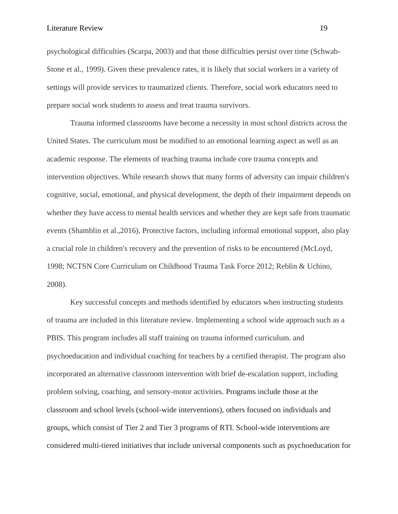psychological difficulties (Scarpa, 2003) and that those difficulties persist over time (Schwab-Stone et al., 1999). Given these prevalence rates, it is likely that social workers in a variety of settings will provide services to traumatized clients. Therefore, social work educators need to prepare social work students to assess and treat trauma survivors.

Trauma informed classrooms have become a necessity in most school districts across the United States. The curriculum must be modified to an emotional learning aspect as well as an academic response. The elements of teaching trauma include core trauma concepts and intervention objectives. While research shows that many forms of adversity can impair children's cognitive, social, emotional, and physical development, the depth of their impairment depends on whether they have access to mental health services and whether they are kept safe from traumatic events (Shamblin et al.,2016). Protective factors, including informal emotional support, also play a crucial role in children's recovery and the prevention of risks to be encountered (McLoyd, 1998; NCTSN Core Curriculum on Childhood Trauma Task Force 2012; Reblin & Uchino, 2008).

Key successful concepts and methods identified by educators when instructing students of trauma are included in this literature review. Implementing a school wide approach such as a PBIS. This program includes all staff training on trauma informed curriculum. and psychoeducation and individual coaching for teachers by a certified therapist. The program also incorporated an alternative classroom intervention with brief de-escalation support, including problem solving, coaching, and sensory-motor activities. Programs include those at the classroom and school levels (school-wide interventions), others focused on individuals and groups, which consist of Tier 2 and Tier 3 programs of RTI. School-wide interventions are considered multi-tiered initiatives that include universal components such as psychoeducation for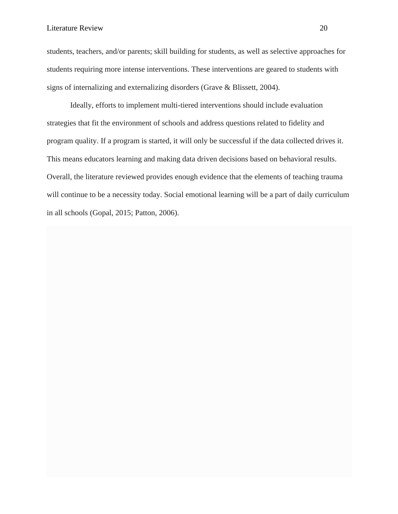students, teachers, and/or parents; skill building for students, as well as selective approaches for students requiring more intense interventions. These interventions are geared to students with signs of internalizing and externalizing disorders (Grave & Blissett, 2004).

Ideally, efforts to implement multi-tiered interventions should include evaluation strategies that fit the environment of schools and address questions related to fidelity and program quality. If a program is started, it will only be successful if the data collected drives it. This means educators learning and making data driven decisions based on behavioral results. Overall, the literature reviewed provides enough evidence that the elements of teaching trauma will continue to be a necessity today. Social emotional learning will be a part of daily curriculum in all schools (Gopal, 2015; Patton, 2006).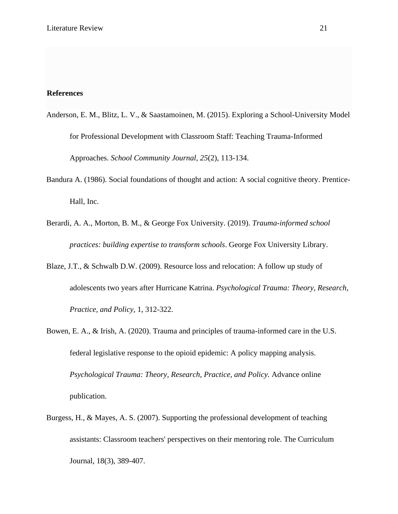# **References**

- Anderson, E. M., Blitz, L. V., & Saastamoinen, M. (2015). Exploring a School-University Model for Professional Development with Classroom Staff: Teaching Trauma-Informed Approaches. *School Community Journal, 25*(2), 113-134.
- Bandura A. (1986). Social foundations of thought and action: A social cognitive theory. Prentice-Hall, Inc.
- Berardi, A. A., Morton, B. M., & George Fox University. (2019). *Trauma-informed school practices: building expertise to transform schools*. George Fox University Library.
- Blaze, J.T., & Schwalb D.W. (2009). Resource loss and relocation: A follow up study of adolescents two years after Hurricane Katrina. *Psychological Trauma: Theory, Research, Practice, and Policy,* 1, 312-322.
- Bowen, E. A., & Irish, A. (2020). Trauma and principles of trauma-informed care in the U.S. federal legislative response to the opioid epidemic: A policy mapping analysis. *Psychological Trauma: Theory, Research, Practice, and Policy.* Advance online publication.
- Burgess, H., & Mayes, A. S. (2007). Supporting the professional development of teaching assistants: Classroom teachers' perspectives on their mentoring role. The Curriculum Journal, 18(3), 389-407.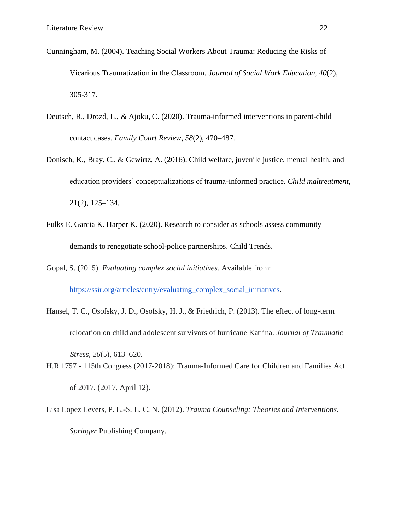- Cunningham, M. (2004). Teaching Social Workers About Trauma: Reducing the Risks of Vicarious Traumatization in the Classroom. *Journal of Social Work Education, 40*(2), 305-317.
- Deutsch, R., Drozd, L., & Ajoku, C. (2020). Trauma-informed interventions in parent-child contact cases. *Family Court Review*, *58*(2), 470–487.
- Donisch, K., Bray, C., & Gewirtz, A. (2016). Child welfare, juvenile justice, mental health, and education providers' conceptualizations of trauma-informed practice. *Child maltreatment,*  21(2), 125–134.
- Fulks E. Garcia K. Harper K. (2020). Research to consider as schools assess community demands to renegotiate school-police partnerships. Child Trends.
- Gopal, S. (2015). *Evaluating complex social initiatives*. Available from: [https://ssir.org/articles/entry/evaluating\\_complex\\_social\\_initiatives.](https://ssir.org/articles/entry/evaluating_complex_social_initiatives)
- Hansel, T. C., Osofsky, J. D., Osofsky, H. J., & Friedrich, P. (2013). The effect of long-term relocation on child and adolescent survivors of hurricane Katrina. *Journal of Traumatic*

*Stress*, *26*(5), 613–620. H.R.1757 - 115th Congress (2017-2018): Trauma-Informed Care for Children and Families Act of 2017. (2017, April 12).

Lisa Lopez Levers, P. L.-S. L. C. N. (2012). *Trauma Counseling: Theories and Interventions. Springer* Publishing Company.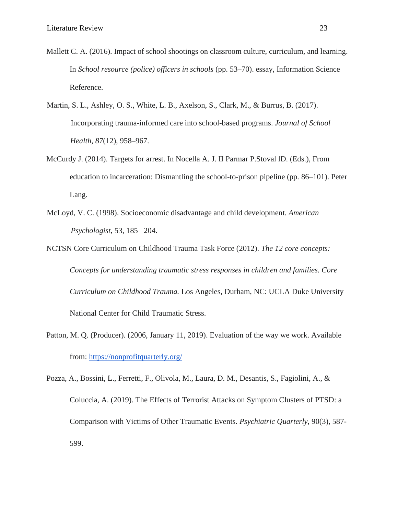- Mallett C. A. (2016). Impact of school shootings on classroom culture, curriculum, and learning. In *School resource (police) officers in schools* (pp. 53–70). essay, Information Science Reference.
- Martin, S. L., Ashley, O. S., White, L. B., Axelson, S., Clark, M., & Burrus, B. (2017). Incorporating trauma-informed care into school-based programs. *Journal of School Health*, *87*(12), 958–967.
- McCurdy J. (2014). Targets for arrest. In Nocella A. J. II Parmar P.Stoval lD. (Eds.), From education to incarceration: Dismantling the school-to-prison pipeline (pp. 86–101). Peter Lang.
- McLoyd, V. C. (1998). Socioeconomic disadvantage and child development. *American Psychologist*, 53, 185– 204.
- NCTSN Core Curriculum on Childhood Trauma Task Force (2012). *The 12 core concepts: Concepts for understanding traumatic stress responses in children and families. Core Curriculum on Childhood Trauma.* Los Angeles, Durham, NC: UCLA Duke University National Center for Child Traumatic Stress.
- Patton, M. Q. (Producer). (2006, January 11, 2019). Evaluation of the way we work. Available from:<https://nonprofitquarterly.org/>
- Pozza, A., Bossini, L., Ferretti, F., Olivola, M., Laura, D. M., Desantis, S., Fagiolini, A., & Coluccia, A. (2019). The Effects of Terrorist Attacks on Symptom Clusters of PTSD: a Comparison with Victims of Other Traumatic Events. *Psychiatric Quarterly,* 90(3), 587- 599.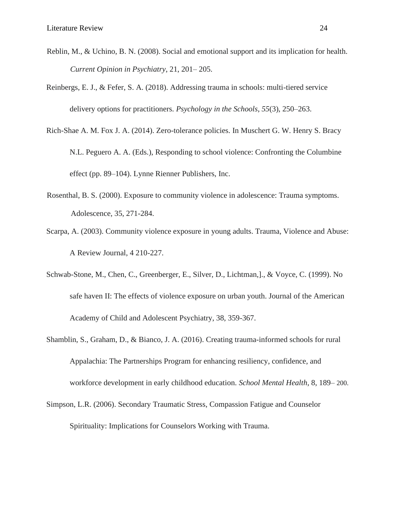- Reblin, M., & Uchino, B. N. (2008). Social and emotional support and its implication for health. *Current Opinion in Psychiatry*, 21, 201– 205.
- Reinbergs, E. J., & Fefer, S. A. (2018). Addressing trauma in schools: multi-tiered service delivery options for practitioners. *Psychology in the Schools*, *55*(3), 250–263.
- Rich-Shae A. M. Fox J. A. (2014). Zero-tolerance policies. In Muschert G. W. Henry S. Bracy N.L. Peguero A. A. (Eds.), Responding to school violence: Confronting the Columbine effect (pp. 89–104). Lynne Rienner Publishers, Inc.
- Rosenthal, B. S. (2000). Exposure to community violence in adolescence: Trauma symptoms. Adolescence, 35, 271-284.
- Scarpa, A. (2003). Community violence exposure in young adults. Trauma, Violence and Abuse: A Review Journal, 4 210-227.
- Schwab-Stone, M., Chen, C., Greenberger, E., Silver, D., Lichtman,]., & Voyce, C. (1999). No safe haven II: The effects of violence exposure on urban youth. Journal of the American Academy of Child and Adolescent Psychiatry, 38, 359-367.
- Shamblin, S., Graham, D., & Bianco, J. A. (2016). Creating trauma-informed schools for rural Appalachia: The Partnerships Program for enhancing resiliency, confidence, and workforce development in early childhood education. *School Mental Health*, 8, 189– 200.
- Simpson, L.R. (2006). Secondary Traumatic Stress, Compassion Fatigue and Counselor Spirituality: Implications for Counselors Working with Trauma.